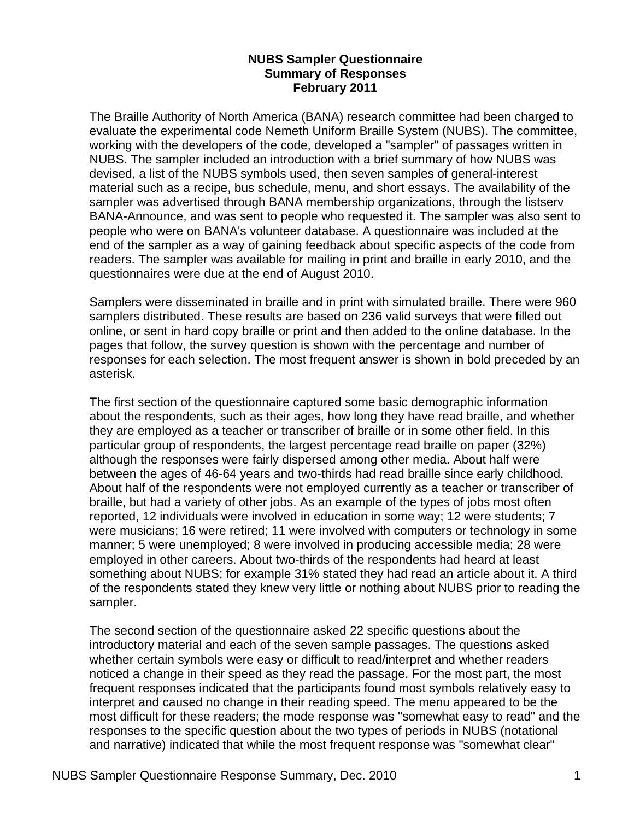#### **NUBS Sampler Questionnaire Summary of Responses February 2011**

The Braille Authority of North America (BANA) research committee had been charged to evaluate the experimental code Nemeth Uniform Braille System (NUBS). The committee, working with the developers of the code, developed a "sampler" of passages written in NUBS. The sampler included an introduction with a brief summary of how NUBS was devised, a list of the NUBS symbols used, then seven samples of general-interest material such as a recipe, bus schedule, menu, and short essays. The availability of the sampler was advertised through BANA membership organizations, through the listserv BANA-Announce, and was sent to people who requested it. The sampler was also sent to people who were on BANA's volunteer database. A questionnaire was included at the end of the sampler as a way of gaining feedback about specific aspects of the code from readers. The sampler was available for mailing in print and braille in early 2010, and the questionnaires were due at the end of August 2010.

Samplers were disseminated in braille and in print with simulated braille. There were 960 samplers distributed. These results are based on 236 valid surveys that were filled out online, or sent in hard copy braille or print and then added to the online database. In the pages that follow, the survey question is shown with the percentage and number of responses for each selection. The most frequent answer is shown in bold preceded by an asterisk.

The first section of the questionnaire captured some basic demographic information about the respondents, such as their ages, how long they have read braille, and whether they are employed as a teacher or transcriber of braille or in some other field. In this particular group of respondents, the largest percentage read braille on paper (32%) although the responses were fairly dispersed among other media. About half were between the ages of 46-64 years and two-thirds had read braille since early childhood. About half of the respondents were not employed currently as a teacher or transcriber of braille, but had a variety of other jobs. As an example of the types of jobs most often reported, 12 individuals were involved in education in some way; 12 were students; 7 were musicians; 16 were retired; 11 were involved with computers or technology in some manner; 5 were unemployed; 8 were involved in producing accessible media; 28 were employed in other careers. About two-thirds of the respondents had heard at least something about NUBS; for example 31% stated they had read an article about it. A third of the respondents stated they knew very little or nothing about NUBS prior to reading the sampler.

The second section of the questionnaire asked 22 specific questions about the introductory material and each of the seven sample passages. The questions asked whether certain symbols were easy or difficult to read/interpret and whether readers noticed a change in their speed as they read the passage. For the most part, the most frequent responses indicated that the participants found most symbols relatively easy to interpret and caused no change in their reading speed. The menu appeared to be the most difficult for these readers; the mode response was "somewhat easy to read" and the responses to the specific question about the two types of periods in NUBS (notational and narrative) indicated that while the most frequent response was "somewhat clear"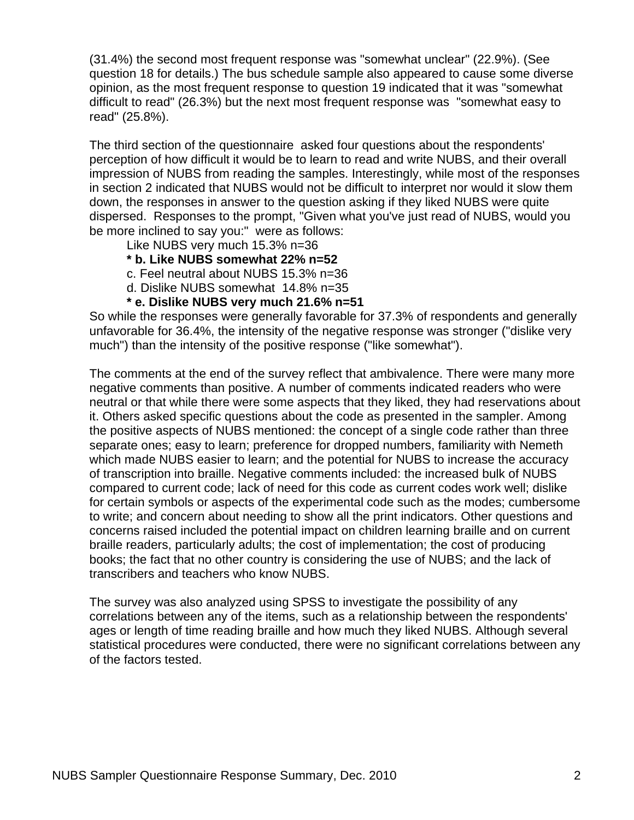(31.4%) the second most frequent response was "somewhat unclear" (22.9%). (See question 18 for details.) The bus schedule sample also appeared to cause some diverse opinion, as the most frequent response to question 19 indicated that it was "somewhat difficult to read" (26.3%) but the next most frequent response was "somewhat easy to read" (25.8%).

The third section of the questionnaire asked four questions about the respondents' perception of how difficult it would be to learn to read and write NUBS, and their overall impression of NUBS from reading the samples. Interestingly, while most of the responses in section 2 indicated that NUBS would not be difficult to interpret nor would it slow them down, the responses in answer to the question asking if they liked NUBS were quite dispersed. Responses to the prompt, "Given what you've just read of NUBS, would you be more inclined to say you:" were as follows:

Like NUBS very much 15.3% n=36

#### **\* b. Like NUBS somewhat 22% n=52**

c. Feel neutral about NUBS 15.3% n=36

d. Dislike NUBS somewhat 14.8% n=35

#### **\* e. Dislike NUBS very much 21.6% n=51**

So while the responses were generally favorable for 37.3% of respondents and generally unfavorable for 36.4%, the intensity of the negative response was stronger ("dislike very much") than the intensity of the positive response ("like somewhat").

The comments at the end of the survey reflect that ambivalence. There were many more negative comments than positive. A number of comments indicated readers who were neutral or that while there were some aspects that they liked, they had reservations about it. Others asked specific questions about the code as presented in the sampler. Among the positive aspects of NUBS mentioned: the concept of a single code rather than three separate ones; easy to learn; preference for dropped numbers, familiarity with Nemeth which made NUBS easier to learn; and the potential for NUBS to increase the accuracy of transcription into braille. Negative comments included: the increased bulk of NUBS compared to current code; lack of need for this code as current codes work well; dislike for certain symbols or aspects of the experimental code such as the modes; cumbersome to write; and concern about needing to show all the print indicators. Other questions and concerns raised included the potential impact on children learning braille and on current braille readers, particularly adults; the cost of implementation; the cost of producing books; the fact that no other country is considering the use of NUBS; and the lack of transcribers and teachers who know NUBS.

The survey was also analyzed using SPSS to investigate the possibility of any correlations between any of the items, such as a relationship between the respondents' ages or length of time reading braille and how much they liked NUBS. Although several statistical procedures were conducted, there were no significant correlations between any of the factors tested.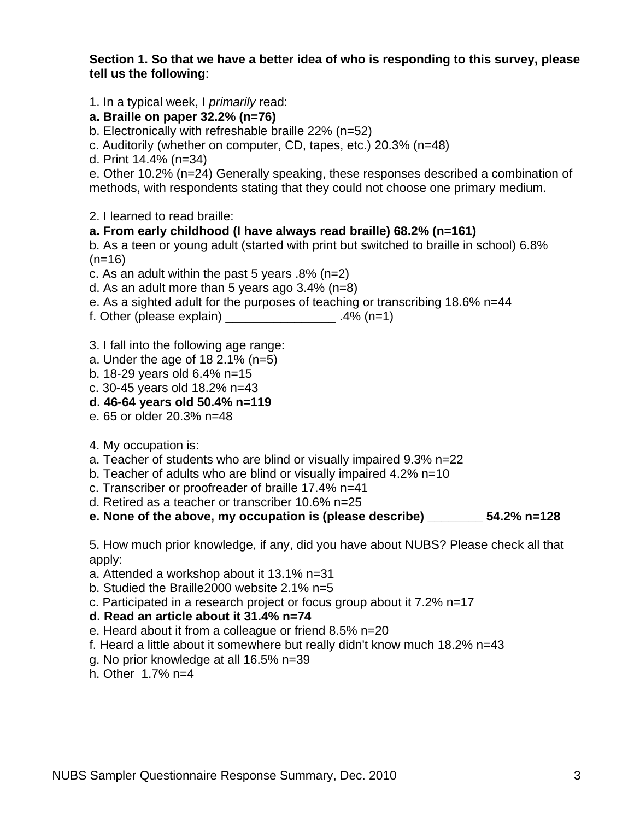#### **Section 1. So that we have a better idea of who is responding to this survey, please tell us the following**:

1. In a typical week, I *primarily* read:

- **a. Braille on paper 32.2% (n=76)**
- b. Electronically with refreshable braille 22% (n=52)
- c. Auditorily (whether on computer, CD, tapes, etc.) 20.3% (n=48)
- d. Print 14.4% (n=34)

e. Other 10.2% (n=24) Generally speaking, these responses described a combination of methods, with respondents stating that they could not choose one primary medium.

2. I learned to read braille:

#### **a. From early childhood (I have always read braille) 68.2% (n=161)**

b. As a teen or young adult (started with print but switched to braille in school) 6.8%  $(n=16)$ 

c. As an adult within the past 5 years .8% (n=2)

d. As an adult more than 5 years ago 3.4% (n=8)

e. As a sighted adult for the purposes of teaching or transcribing 18.6% n=44

f. Other (please explain) \_\_\_\_\_\_\_\_\_\_\_\_\_\_\_\_\_\_\_.4% (n=1)

3. I fall into the following age range:

- a. Under the age of  $182.1\%$  (n=5)
- b. 18-29 years old 6.4% n=15
- c. 30-45 years old 18.2% n=43

#### **d. 46-64 years old 50.4% n=119**

- e. 65 or older 20.3% n=48
- 4. My occupation is:
- a. Teacher of students who are blind or visually impaired 9.3% n=22
- b. Teacher of adults who are blind or visually impaired 4.2% n=10
- c. Transcriber or proofreader of braille 17.4% n=41
- d. Retired as a teacher or transcriber 10.6% n=25
- **e. None of the above, my occupation is (please describe) \_\_\_\_\_\_\_\_ 54.2% n=128**

5. How much prior knowledge, if any, did you have about NUBS? Please check all that apply:

a. Attended a workshop about it 13.1% n=31

b. Studied the Braille2000 website 2.1% n=5

c. Participated in a research project or focus group about it 7.2% n=17

#### **d. Read an article about it 31.4% n=74**

e. Heard about it from a colleague or friend 8.5% n=20

f. Heard a little about it somewhere but really didn't know much 18.2% n=43

- g. No prior knowledge at all 16.5% n=39
- h. Other 1.7% n=4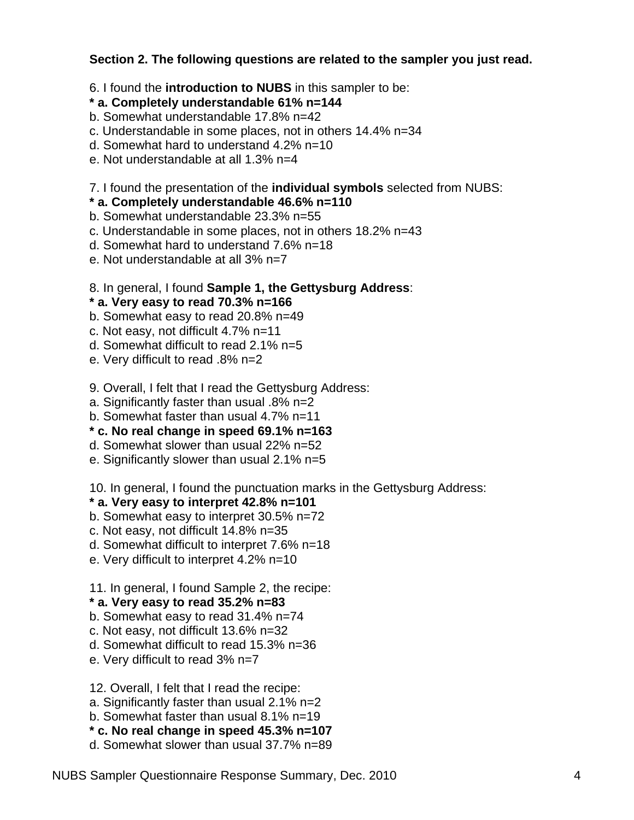# **Section 2. The following questions are related to the sampler you just read.**

6. I found the **introduction to NUBS** in this sampler to be:

#### **\* a. Completely understandable 61% n=144**

- b. Somewhat understandable 17.8% n=42
- c. Understandable in some places, not in others 14.4% n=34
- d. Somewhat hard to understand 4.2% n=10
- e. Not understandable at all 1.3% n=4

# 7. I found the presentation of the **individual symbols** selected from NUBS:

### **\* a. Completely understandable 46.6% n=110**

- b. Somewhat understandable 23.3% n=55
- c. Understandable in some places, not in others 18.2% n=43
- d. Somewhat hard to understand 7.6% n=18
- e. Not understandable at all 3% n=7

# 8. In general, I found **Sample 1, the Gettysburg Address**:

# **\* a. Very easy to read 70.3% n=166**

- b. Somewhat easy to read 20.8% n=49
- c. Not easy, not difficult 4.7% n=11
- d. Somewhat difficult to read 2.1% n=5
- e. Very difficult to read .8% n=2
- 9. Overall, I felt that I read the Gettysburg Address:
- a. Significantly faster than usual .8% n=2
- b. Somewhat faster than usual 4.7% n=11

# **\* c. No real change in speed 69.1% n=163**

- d. Somewhat slower than usual 22% n=52
- e. Significantly slower than usual 2.1% n=5

#### 10. In general, I found the punctuation marks in the Gettysburg Address:

# **\* a. Very easy to interpret 42.8% n=101**

- b. Somewhat easy to interpret 30.5% n=72
- c. Not easy, not difficult 14.8% n=35
- d. Somewhat difficult to interpret 7.6% n=18
- e. Very difficult to interpret 4.2% n=10

# 11. In general, I found Sample 2, the recipe:

# **\* a. Very easy to read 35.2% n=83**

- b. Somewhat easy to read 31.4% n=74
- c. Not easy, not difficult 13.6% n=32
- d. Somewhat difficult to read 15.3% n=36
- e. Very difficult to read 3% n=7

12. Overall, I felt that I read the recipe:

- a. Significantly faster than usual 2.1% n=2
- b. Somewhat faster than usual 8.1% n=19

**\* c. No real change in speed 45.3% n=107**

d. Somewhat slower than usual 37.7% n=89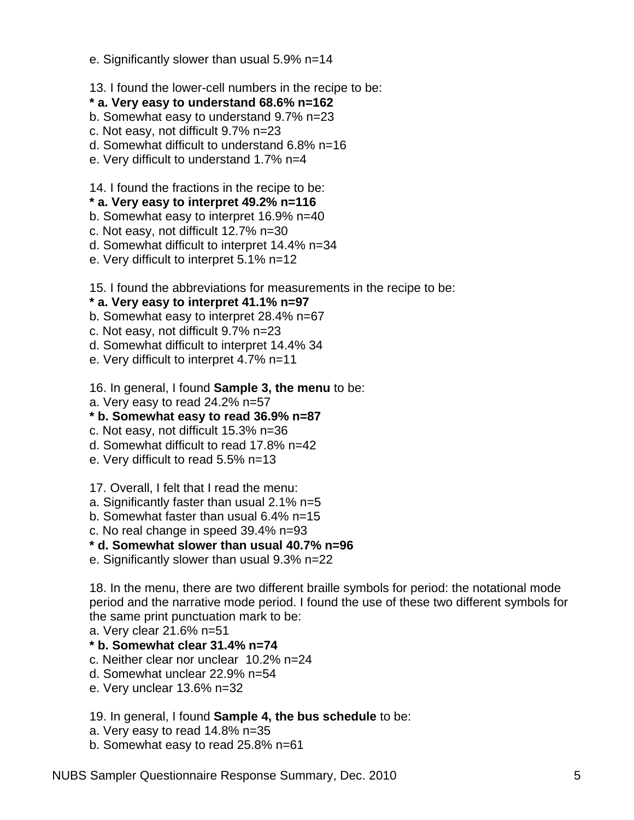- e. Significantly slower than usual 5.9% n=14
- 13. I found the lower-cell numbers in the recipe to be:
- **\* a. Very easy to understand 68.6% n=162**
- b. Somewhat easy to understand 9.7% n=23
- c. Not easy, not difficult 9.7% n=23
- d. Somewhat difficult to understand 6.8% n=16
- e. Very difficult to understand 1.7% n=4
- 14. I found the fractions in the recipe to be:
- **\* a. Very easy to interpret 49.2% n=116**
- b. Somewhat easy to interpret 16.9% n=40
- c. Not easy, not difficult 12.7% n=30
- d. Somewhat difficult to interpret 14.4% n=34
- e. Very difficult to interpret 5.1% n=12
- 15. I found the abbreviations for measurements in the recipe to be:

# **\* a. Very easy to interpret 41.1% n=97**

- b. Somewhat easy to interpret 28.4% n=67
- c. Not easy, not difficult 9.7% n=23
- d. Somewhat difficult to interpret 14.4% 34
- e. Very difficult to interpret 4.7% n=11

# 16. In general, I found **Sample 3, the menu** to be:

a. Very easy to read 24.2% n=57

# **\* b. Somewhat easy to read 36.9% n=87**

- c. Not easy, not difficult 15.3% n=36
- d. Somewhat difficult to read 17.8% n=42
- e. Very difficult to read 5.5% n=13
- 17. Overall, I felt that I read the menu:
- a. Significantly faster than usual 2.1% n=5
- b. Somewhat faster than usual 6.4% n=15
- c. No real change in speed 39.4% n=93

# **\* d. Somewhat slower than usual 40.7% n=96**

e. Significantly slower than usual 9.3% n=22

18. In the menu, there are two different braille symbols for period: the notational mode period and the narrative mode period. I found the use of these two different symbols for the same print punctuation mark to be:

a. Very clear 21.6% n=51

# **\* b. Somewhat clear 31.4% n=74**

- c. Neither clear nor unclear 10.2% n=24
- d. Somewhat unclear 22.9% n=54
- e. Very unclear 13.6% n=32

# 19. In general, I found **Sample 4, the bus schedule** to be:

- a. Very easy to read 14.8% n=35
- b. Somewhat easy to read 25.8% n=61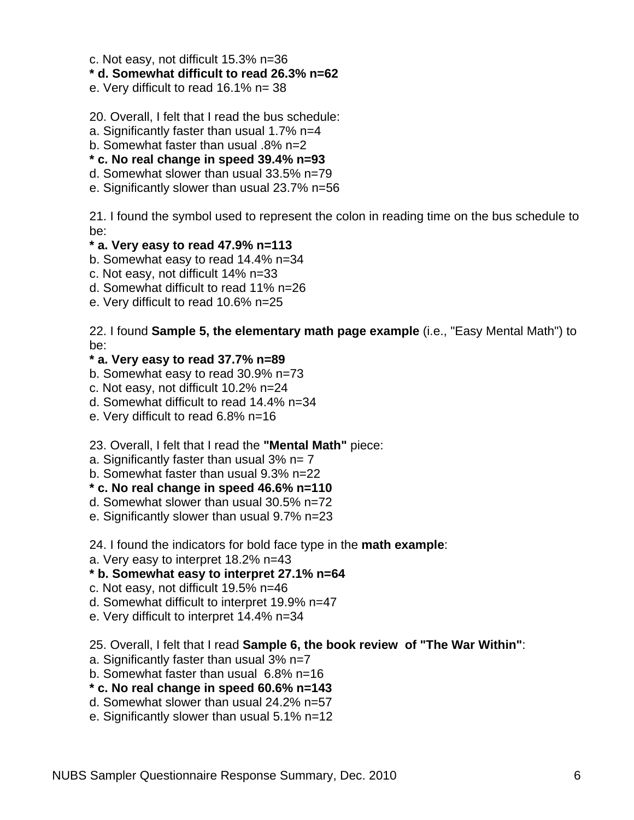- c. Not easy, not difficult 15.3% n=36
- **\* d. Somewhat difficult to read 26.3% n=62**
- e. Very difficult to read 16.1% n= 38
- 20. Overall, I felt that I read the bus schedule:
- a. Significantly faster than usual 1.7% n=4
- b. Somewhat faster than usual .8% n=2
- **\* c. No real change in speed 39.4% n=93**
- d. Somewhat slower than usual 33.5% n=79
- e. Significantly slower than usual 23.7% n=56

21. I found the symbol used to represent the colon in reading time on the bus schedule to be:

#### **\* a. Very easy to read 47.9% n=113**

- b. Somewhat easy to read 14.4% n=34
- c. Not easy, not difficult 14% n=33
- d. Somewhat difficult to read 11% n=26
- e. Very difficult to read 10.6% n=25

22. I found **Sample 5, the elementary math page example** (i.e., "Easy Mental Math") to be:

#### **\* a. Very easy to read 37.7% n=89**

- b. Somewhat easy to read 30.9% n=73
- c. Not easy, not difficult 10.2% n=24
- d. Somewhat difficult to read 14.4% n=34
- e. Very difficult to read 6.8% n=16

23. Overall, I felt that I read the **"Mental Math"** piece:

- a. Significantly faster than usual  $3\%$  n= 7
- b. Somewhat faster than usual 9.3% n=22
- **\* c. No real change in speed 46.6% n=110**
- d. Somewhat slower than usual 30.5% n=72
- e. Significantly slower than usual 9.7% n=23

24. I found the indicators for bold face type in the **math example**:

a. Very easy to interpret 18.2% n=43

#### **\* b. Somewhat easy to interpret 27.1% n=64**

- c. Not easy, not difficult 19.5% n=46
- d. Somewhat difficult to interpret 19.9% n=47
- e. Very difficult to interpret 14.4% n=34

25. Overall, I felt that I read **Sample 6, the book review of "The War Within"**:

- a. Significantly faster than usual 3% n=7
- b. Somewhat faster than usual 6.8% n=16
- **\* c. No real change in speed 60.6% n=143**
- d. Somewhat slower than usual 24.2% n=57
- e. Significantly slower than usual 5.1% n=12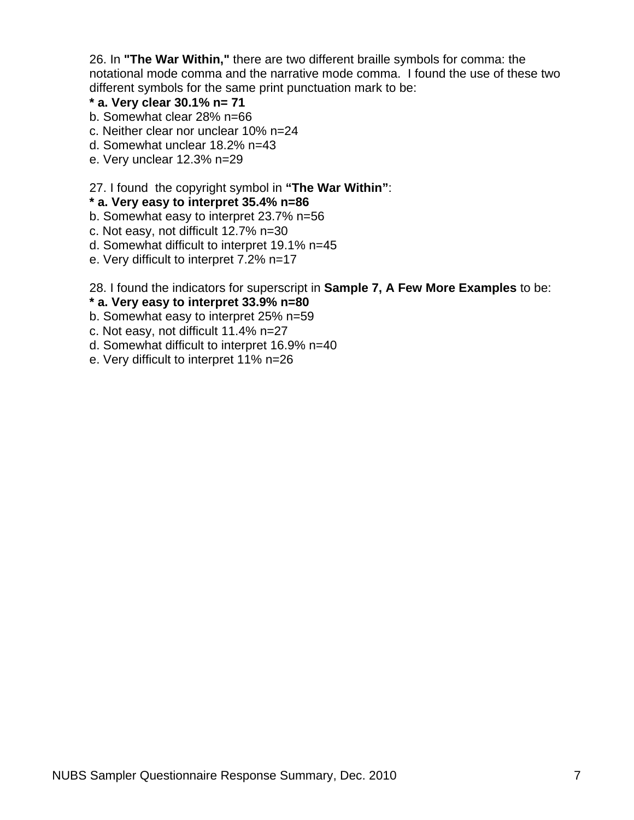26. In **"The War Within,"** there are two different braille symbols for comma: the notational mode comma and the narrative mode comma. I found the use of these two different symbols for the same print punctuation mark to be:

# **\* a. Very clear 30.1% n= 71**

- b. Somewhat clear 28% n=66
- c. Neither clear nor unclear 10% n=24
- d. Somewhat unclear 18.2% n=43
- e. Very unclear 12.3% n=29

### 27. I found the copyright symbol in **"The War Within"**:

### **\* a. Very easy to interpret 35.4% n=86**

- b. Somewhat easy to interpret 23.7% n=56
- c. Not easy, not difficult 12.7% n=30
- d. Somewhat difficult to interpret 19.1% n=45
- e. Very difficult to interpret 7.2% n=17

28. I found the indicators for superscript in **Sample 7, A Few More Examples** to be:

### **\* a. Very easy to interpret 33.9% n=80**

- b. Somewhat easy to interpret 25% n=59
- c. Not easy, not difficult 11.4% n=27
- d. Somewhat difficult to interpret 16.9% n=40
- e. Very difficult to interpret 11% n=26